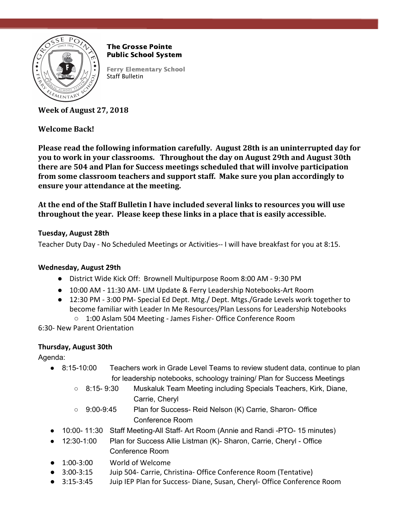

The Grosse Pointe Public School System

Ferry Elementary School Staff Bulletin

**Week of August 27, 2018**

# **Welcome Back!**

**Please read the following information carefully. August 28th is an uninterrupted day for you to work in your classrooms. Throughout the day on August 29th and August 30th there are 504 and Plan for Success meetings scheduled that will involve participation from some classroom teachers and support staff. Make sure you plan accordingly to ensure your attendance at the meeting.**

**At the end of the Staff Bulletin I have included several links to resources you will use throughout the year. Please keep these links in a place that is easily accessible.**

## **Tuesday, August 28th**

Teacher Duty Day - No Scheduled Meetings or Activities-- I will have breakfast for you at 8:15.

## **Wednesday, August 29th**

- District Wide Kick Off: Brownell Multipurpose Room 8:00 AM 9:30 PM
- 10:00 AM 11:30 AM- LIM Update & Ferry Leadership Notebooks-Art Room
- 12:30 PM 3:00 PM- Special Ed Dept. Mtg./ Dept. Mtgs./Grade Levels work together to become familiar with Leader In Me Resources/Plan Lessons for Leadership Notebooks
	- 1:00 Aslam 504 Meeting James Fisher- Office Conference Room

6:30- New Parent Orientation

## **Thursday, August 30th**

Agenda:

- 8:15-10:00 Teachers work in Grade Level Teams to review student data, continue to plan for leadership notebooks, schoology training/ Plan for Success Meetings
	- 8:15- 9:30 Muskaluk Team Meeting including Specials Teachers, Kirk, Diane, Carrie, Cheryl
	- 9:00-9:45 Plan for Success- Reid Nelson (K) Carrie, Sharon- Office Conference Room
- 10:00- 11:30 Staff Meeting-All Staff- Art Room (Annie and Randi -PTO- 15 minutes)
- 12:30-1:00 Plan for Success Allie Listman (K)- Sharon, Carrie, Cheryl Office Conference Room
- 1:00-3:00 World of Welcome
- 3:00-3:15 Juip 504- Carrie, Christina- Office Conference Room (Tentative)
- 3:15-3:45 Juip IEP Plan for Success- Diane, Susan, Cheryl- Office Conference Room